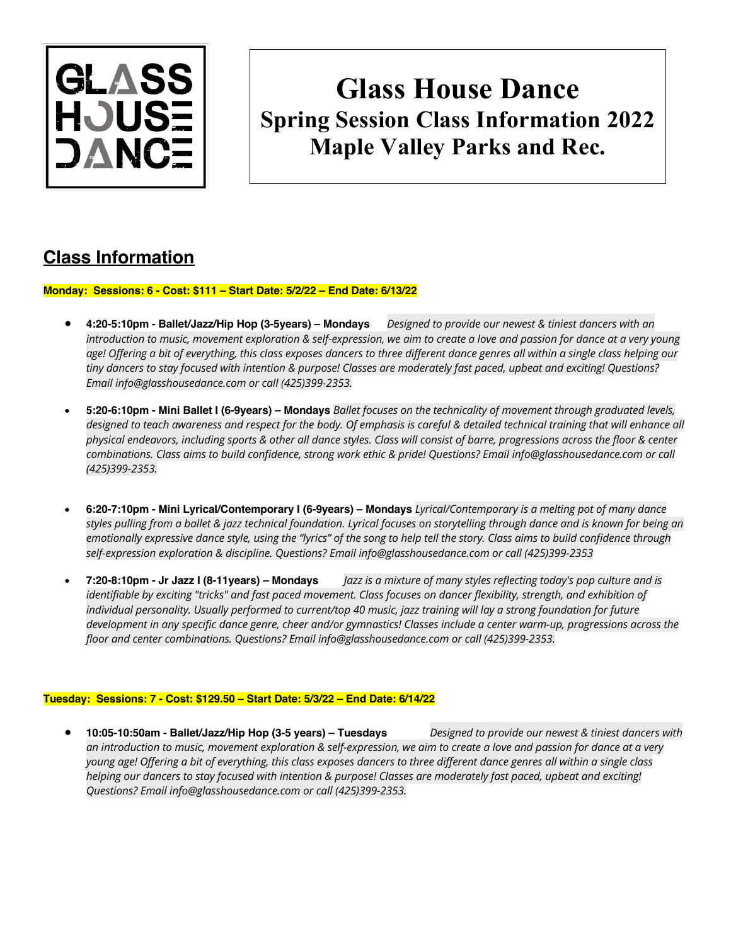

# **Glass House Dance Spring Session Class Information 2022 Maple Valley Parks and Rec.**

## **Class Information**

**Monday: Sessions: 6 - Cost: \$111 – Start Date: 5/2/22 – End Date: 6/13/22**

- **4:20-5:10pm - Ballet/Jazz/Hip Hop (3-5years) – Mondays** *Designed to provide our newest & tiniest dancers with an introduction to music, movement exploration & self-expression, we aim to create a love and passion for dance at a very young*  age! Offering a bit of everything, this class exposes dancers to three different dance genres all within a single class helping our *tiny dancers to stay focused with intention & purpose! Classes are moderately fast paced, upbeat and exciting! Questions? Email info@glasshousedance.com or call (425)399-2353.*
- **5:20-6:10pm - Mini Ballet I (6-9years) – Mondays** *Ballet focuses on the technicality of movement through graduated levels, designed to teach awareness and respect for the body. Of emphasis is careful & detailed technical training that will enhance all physical endeavors, including sports & other all dance styles. Class will consist of barre, progressions across the floor & center combinations. Class aims to build confidence, strong work ethic & pride! Questions? Email info@glasshousedance.com or call (425)399-2353.*
- **6:20-7:10pm - Mini Lyrical/Contemporary I (6-9years) – Mondays** *Lyrical/Contemporary is a melting pot of many dance styles pulling from a ballet & jazz technical foundation. Lyrical focuses on storytelling through dance and is known for being an emotionally expressive dance style, using the "lyrics" of the song to help tell the story. Class aims to build confidence through self-expression exploration & discipline. Questions? Email info@glasshousedance.com or call (425)399-2353*
- **7:20-8:10pm - Jr Jazz I (8-11years) – Mondays** *Jazz is a mixture of many styles reflecting today's pop culture and is*  identifiable by exciting "tricks" and fast paced movement. Class focuses on dancer flexibility, strength, and exhibition of *individual personality. Usually performed to current/top 40 music, jazz training will lay a strong foundation for future development in any specific dance genre, cheer and/or gymnastics! Classes include a center warm-up, progressions across the floor and center combinations. Questions? Email info@glasshousedance.com or call (425)399-2353.*

#### **Tuesday: Sessions: 7 - Cost: \$129.50 – Start Date: 5/3/22 – End Date: 6/14/22**

• **10:05-10:50am - Ballet/Jazz/Hip Hop (3-5 years) – Tuesdays** *Designed to provide our newest & tiniest dancers with an introduction to music, movement exploration & self-expression, we aim to create a love and passion for dance at a very young age! Offering a bit of everything, this class exposes dancers to three different dance genres all within a single class helping our dancers to stay focused with intention & purpose! Classes are moderately fast paced, upbeat and exciting! Questions? Email info@glasshousedance.com or call (425)399-2353.*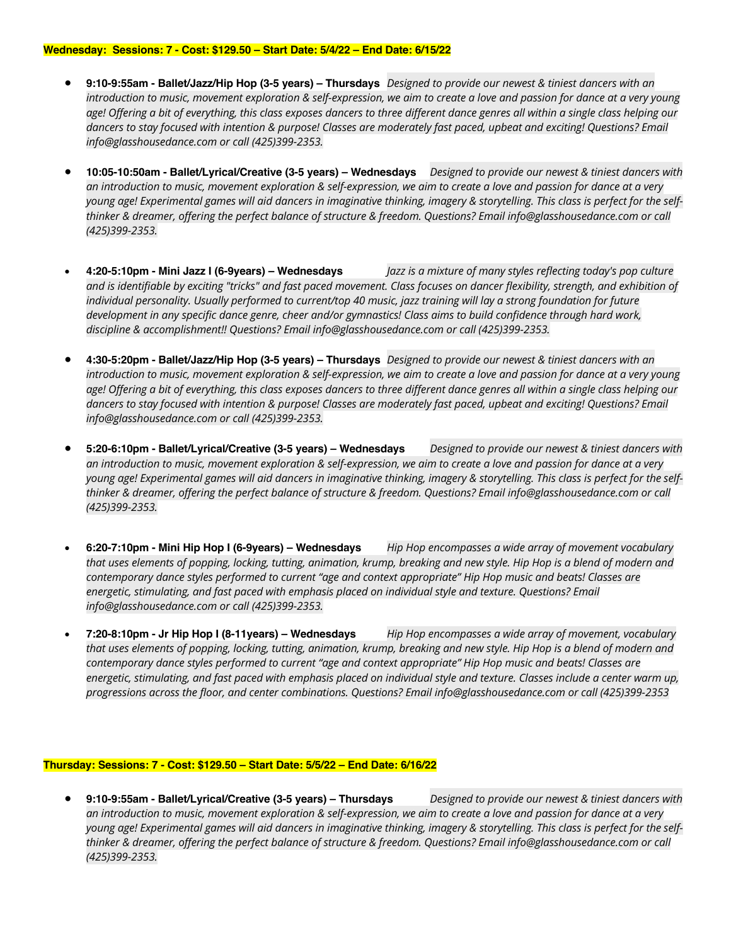#### **Wednesday: Sessions: 7 - Cost: \$129.50 – Start Date: 5/4/22 – End Date: 6/15/22**

- **9:10-9:55am - Ballet/Jazz/Hip Hop (3-5 years) – Thursdays** *Designed to provide our newest & tiniest dancers with an introduction to music, movement exploration & self-expression, we aim to create a love and passion for dance at a very young age! Offering a bit of everything, this class exposes dancers to three different dance genres all within a single class helping our*  dancers to stay focused with intention & purpose! Classes are moderately fast paced, upbeat and exciting! Questions? Email *info@glasshousedance.com or call (425)399-2353.*
- **10:05-10:50am - Ballet/Lyrical/Creative (3-5 years) – Wednesdays** *Designed to provide our newest & tiniest dancers with an introduction to music, movement exploration & self-expression, we aim to create a love and passion for dance at a very young age! Experimental games will aid dancers in imaginative thinking, imagery & storytelling. This class is perfect for the selfthinker & dreamer, offering the perfect balance of structure & freedom. Questions? Email info@glasshousedance.com or call (425)399-2353.*
- **4:20-5:10pm - Mini Jazz I (6-9years) – Wednesdays** *Jazz is a mixture of many styles reflecting today's pop culture and is identifiable by exciting "tricks" and fast paced movement. Class focuses on dancer flexibility, strength, and exhibition of individual personality. Usually performed to current/top 40 music, jazz training will lay a strong foundation for future development in any specific dance genre, cheer and/or gymnastics! Class aims to build confidence through hard work, discipline & accomplishment!! Questions? Email info@glasshousedance.com or call (425)399-2353.*
- **4:30-5:20pm - Ballet/Jazz/Hip Hop (3-5 years) – Thursdays** *Designed to provide our newest & tiniest dancers with an introduction to music, movement exploration & self-expression, we aim to create a love and passion for dance at a very young age! Offering a bit of everything, this class exposes dancers to three different dance genres all within a single class helping our*  dancers to stay focused with intention & purpose! Classes are moderately fast paced, upbeat and exciting! Questions? Email *info@glasshousedance.com or call (425)399-2353.*
- **5:20-6:10pm - Ballet/Lyrical/Creative (3-5 years) – Wednesdays** *Designed to provide our newest & tiniest dancers with an introduction to music, movement exploration & self-expression, we aim to create a love and passion for dance at a very young age! Experimental games will aid dancers in imaginative thinking, imagery & storytelling. This class is perfect for the selfthinker & dreamer, offering the perfect balance of structure & freedom. Questions? Email info@glasshousedance.com or call (425)399-2353.*
- **6:20-7:10pm - Mini Hip Hop I (6-9years) – Wednesdays** *Hip Hop encompasses a wide array of movement vocabulary that uses elements of popping, locking, tutting, animation, krump, breaking and new style. Hip Hop is a blend of modern and contemporary dance styles performed to current "age and context appropriate" Hip Hop music and beats! Classes are*  energetic, stimulating, and fast paced with emphasis placed on individual style and texture. Questions? Email *info@glasshousedance.com or call (425)399-2353.*
- **7:20-8:10pm - Jr Hip Hop I (8-11years) – Wednesdays** *Hip Hop encompasses a wide array of movement, vocabulary that uses elements of popping, locking, tutting, animation, krump, breaking and new style. Hip Hop is a blend of modern and contemporary dance styles performed to current "age and context appropriate" Hip Hop music and beats! Classes are energetic, stimulating, and fast paced with emphasis placed on individual style and texture. Classes include a center warm up, progressions across the floor, and center combinations. Questions? Email info@glasshousedance.com or call (425)399-2353*

#### **Thursday: Sessions: 7 - Cost: \$129.50 – Start Date: 5/5/22 – End Date: 6/16/22**

• **9:10-9:55am - Ballet/Lyrical/Creative (3-5 years) – Thursdays** *Designed to provide our newest & tiniest dancers with an introduction to music, movement exploration & self-expression, we aim to create a love and passion for dance at a very*  young age! Experimental games will aid dancers in imaginative thinking, imagery & storytelling. This class is perfect for the self*thinker & dreamer, offering the perfect balance of structure & freedom. Questions? Email info@glasshousedance.com or call (425)399-2353.*